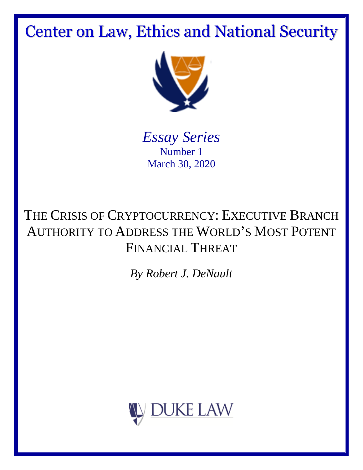Center on Law, Ethics and National Security



*Essay Series* Number 1 March 30, 2020

# THE CRISIS OF CRYPTOCURRENCY: EXECUTIVE BRANCH AUTHORITY TO ADDRESS THE WORLD'S MOST POTENT FINANCIAL THREAT

*By Robert J. DeNault*

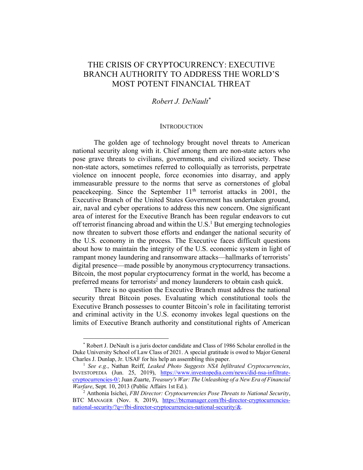# THE CRISIS OF CRYPTOCURRENCY: EXECUTIVE BRANCH AUTHORITY TO ADDRESS THE WORLD'S MOST POTENT FINANCIAL THREAT

# *Robert J. DeNault\**

#### **INTRODUCTION**

The golden age of technology brought novel threats to American national security along with it. Chief among them are non-state actors who pose grave threats to civilians, governments, and civilized society. These non-state actors, sometimes referred to colloquially as terrorists, perpetrate violence on innocent people, force economies into disarray, and apply immeasurable pressure to the norms that serve as cornerstones of global peacekeeping. Since the September  $11<sup>th</sup>$  terrorist attacks in 2001, the Executive Branch of the United States Government has undertaken ground, air, naval and cyber operations to address this new concern. One significant area of interest for the Executive Branch has been regular endeavors to cut off terrorist financing abroad and within the  $U.S.<sup>1</sup>$  But emerging technologies now threaten to subvert those efforts and endanger the national security of the U.S. economy in the process. The Executive faces difficult questions about how to maintain the integrity of the U.S. economic system in light of rampant money laundering and ransomware attacks—hallmarks of terrorists' digital presence—made possible by anonymous cryptocurrency transactions. Bitcoin, the most popular cryptocurrency format in the world, has become a preferred means for terrorists<sup>2</sup> and money launderers to obtain cash quick.

There is no question the Executive Branch must address the national security threat Bitcoin poses. Evaluating which constitutional tools the Executive Branch possesses to counter Bitcoin's role in facilitating terrorist and criminal activity in the U.S. economy invokes legal questions on the limits of Executive Branch authority and constitutional rights of American

 <sup>\*</sup> Robert J. DeNault is a juris doctor candidate and Class of 1986 Scholar enrolled in the Duke University School of Law Class of 2021. A special gratitude is owed to Major General Charles J. Dunlap, Jr. USAF for his help an assembling this paper.

<sup>1</sup> *See e.g.*, Nathan Reiff, *Leaked Photo Suggests NSA Infiltrated Cryptocurrencies*, INVESTOPEDIA (Jun. 25, 2019), https://www.investopedia.com/news/did-nsa-infiltratecryptocurrencies-0/; Juan Zuarte, *Treasury's War: The Unleashing of a New Era of Financial Warfare*, Sept. 10, 2013 (Public Affairs 1st Ed.).

<sup>2</sup> Anthonia Isichei, *FBI Director: Cryptocurrencies Pose Threats to National Security*, BTC MANAGER (Nov. 8, 2019), https://btcmanager.com/fbi-director-cryptocurrenciesnational-security/?q=/fbi-director-cryptocurrencies-national-security/&.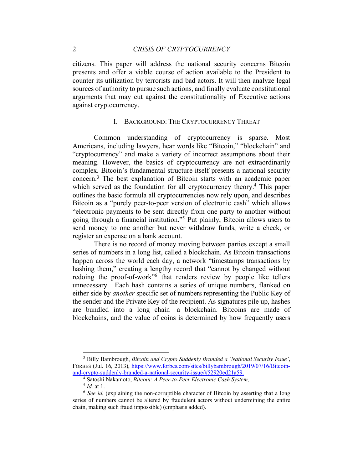citizens. This paper will address the national security concerns Bitcoin presents and offer a viable course of action available to the President to counter its utilization by terrorists and bad actors. It will then analyze legal sources of authority to pursue such actions, and finally evaluate constitutional arguments that may cut against the constitutionality of Executive actions against cryptocurrency.

# I. BACKGROUND: THE CRYPTOCURRENCY THREAT

Common understanding of cryptocurrency is sparse. Most Americans, including lawyers, hear words like "Bitcoin," "blockchain" and "cryptocurrency" and make a variety of incorrect assumptions about their meaning. However, the basics of cryptocurrency are not extraordinarily complex. Bitcoin's fundamental structure itself presents a national security concern. <sup>3</sup> The best explanation of Bitcoin starts with an academic paper which served as the foundation for all cryptocurrency theory.<sup>4</sup> This paper outlines the basic formula all cryptocurrencies now rely upon, and describes Bitcoin as a "purely peer-to-peer version of electronic cash" which allows "electronic payments to be sent directly from one party to another without going through a financial institution."5 Put plainly, Bitcoin allows users to send money to one another but never withdraw funds, write a check, or register an expense on a bank account.

There is no record of money moving between parties except a small series of numbers in a long list, called a blockchain. As Bitcoin transactions happen across the world each day, a network "timestamps transactions by hashing them," creating a lengthy record that "cannot by changed without redoing the proof-of-work"6 that renders review by people like tellers unnecessary. Each hash contains a series of unique numbers, flanked on either side by *another* specific set of numbers representing the Public Key of the sender and the Private Key of the recipient. As signatures pile up, hashes are bundled into a long chain—a blockchain. Bitcoins are made of blockchains, and the value of coins is determined by how frequently users

 <sup>3</sup> Billy Bambrough, *Bitcoin and Crypto Suddenly Branded a 'National Security Issue'*, FORBES (Jul. 16, 2013), https://www.forbes.com/sites/billybambrough/2019/07/16/Bitcoinand-crypto-suddenly-branded-a-national-security-issue/#52920ed21a59.

<sup>4</sup> Satoshi Nakamoto, *Bitcoin: A Peer-to-Peer Electronic Cash System*, 5 *Id.* at 1.

<sup>6</sup> *See id.* (explaining the non-corruptible character of Bitcoin by asserting that a long series of numbers cannot be altered by fraudulent actors without undermining the entire chain, making such fraud impossible) (emphasis added).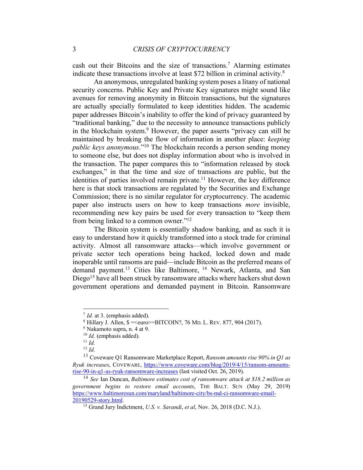cash out their Bitcoins and the size of transactions.7 Alarming estimates indicate these transactions involve at least \$72 billion in criminal activity.8

An anonymous, unregulated banking system poses a litany of national security concerns. Public Key and Private Key signatures might sound like avenues for removing anonymity in Bitcoin transactions, but the signatures are actually specially formulated to keep identities hidden. The academic paper addresses Bitcoin's inability to offer the kind of privacy guaranteed by "traditional banking," due to the necessity to announce transactions publicly in the blockchain system.<sup>9</sup> However, the paper asserts "privacy can still be maintained by breaking the flow of information in another place: *keeping public keys anonymous*."10 The blockchain records a person sending money to someone else, but does not display information about who is involved in the transaction. The paper compares this to "information released by stock exchanges," in that the time and size of transactions are public, but the identities of parties involved remain private.<sup>11</sup> However, the key difference here is that stock transactions are regulated by the Securities and Exchange Commission; there is no similar regulator for cryptocurrency. The academic paper also instructs users on how to keep transactions *more* invisible, recommending new key pairs be used for every transaction to "keep them from being linked to a common owner."12

The Bitcoin system is essentially shadow banking, and as such it is easy to understand how it quickly transformed into a stock trade for criminal activity. Almost all ransomware attacks—which involve government or private sector tech operations being hacked, locked down and made inoperable until ransoms are paid—include Bitcoin as the preferred means of demand payment.<sup>13</sup> Cities like Baltimore, <sup>14</sup> Newark, Atlanta, and San Diego<sup>15</sup> have all been struck by ransomware attacks where hackers shut down government operations and demanded payment in Bitcoin. Ransomware

 <sup>7</sup> *Id.* at 3. (emphasis added).

 $8$  Hillary J. Allen,  $\frac{\text{S}}{\text{S}} = \frac{1}{100}$  = Seuro = BITCOIN?, 76 MD. L. REV. 877, 904 (2017).

<sup>9</sup> Nakamoto supra, n. 4 at 9.

<sup>10</sup> *Id.* (emphasis added).

<sup>11</sup> *Id.*

<sup>12</sup> *Id.*

<sup>13</sup> Coveware Q1 Ransomware Marketplace Report, *Ransom amounts rise 90% in Q1 as Ryuk increases*, COVEWARE, https://www.coveware.com/blog/2019/4/15/ransom-amountsrise-90-in-q1-as-ryuk-ransomware-increases (last visited Oct. 26, 2019).

<sup>14</sup> *See* Ian Duncan, *Baltimore estimates cost of ransomware attack at \$18.2 million as government begins to restore email accounts*, THE BALT. SUN (May 29, 2019) https://www.baltimoresun.com/maryland/baltimore-city/bs-md-ci-ransomware-email-20190529-story.html.

<sup>15</sup> Grand Jury Indictment, *U.S. v. Savandi*, *et al*, Nov. 26, 2018 (D.C. N.J.).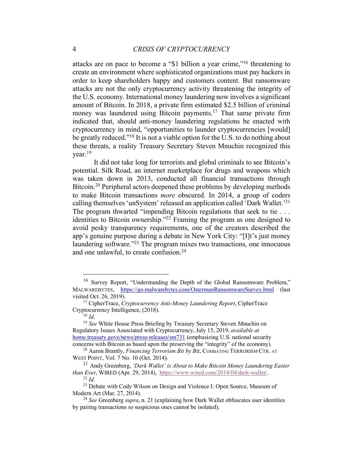attacks are on pace to become a "\$1 billion a year crime,"16 threatening to create an environment where sophisticated organizations must pay hackers in order to keep shareholders happy and customers content. But ransomware attacks are not the only cryptocurrency activity threatening the integrity of the U.S. economy. International money laundering now involves a significant amount of Bitcoin. In 2018, a private firm estimated \$2.5 billion of criminal money was laundered using Bitcoin payments.<sup>17</sup> That same private firm indicated that, should anti-money laundering regulations be enacted with cryptocurrency in mind, "opportunities to launder cryptocurrencies [would] be greatly reduced."<sup>18</sup> It is not a viable option for the U.S. to do nothing about these threats, a reality Treasury Secretary Steven Mnuchin recognized this year.19

It did not take long for terrorists and global criminals to see Bitcoin's potential. Silk Road, an internet marketplace for drugs and weapons which was taken down in 2013, conducted all financial transactions through Bitcoin. <sup>20</sup> Peripheral actors deepened these problems by developing methods to make Bitcoin transactions *more* obscured. In 2014, a group of coders calling themselves 'unSystem' released an application called 'Dark Wallet.' 21 The program thwarted "impending Bitcoin regulations that seek to tie . . . identities to Bitcoin ownership."22 Framing the program as one designed to avoid pesky transparency requirements, one of the creators described the app's genuine purpose during a debate in New York City: "[I]t's just money laundering software."23 The program mixes two transactions, one innocuous and one unlawful, to create confusion.<sup>24</sup>

 <sup>16</sup> Survey Report, "Understanding the Depth of the Global Ransomware Problem," MALWAREBYTES, https://go.malwarebytes.com/OstermanRansomwareSurvey.html (last visited Oct. 26, 2019).

<sup>17</sup> CipherTrace, *Cryptocurrency Anti-Money Laundering Report*, CipherTrace Cryptocurrency Intelligence, (2018).

<sup>18</sup> *Id.*

<sup>&</sup>lt;sup>19</sup> See White House Press Briefing by Treasury Secretary Steven Mnuchin on Regulatory Issues Associated with Cryptocurrency, July 15, 2019, *available at* home.treasury.gove/news/press-releases/sm731 (emphasizing U.S. national security concerns with Bitcoin as based upon the preserving the "integrity" of the economy).

<sup>&</sup>lt;sup>20</sup> Aaron Brantly, *Financing Terrorism Bit by Bit*, COMBATING TERRORISM CTR. AT WEST POINT, Vol. 7 No. 10 (Oct. 2014).

<sup>21</sup> Andy Greenberg, *'Dark Wallet' is About to Make Bitcoin Money Laundering Easier than Ever*, WIRED (Apr. 29, 2014), https://www.wired.com/2014/04/dark-wallet/. <sup>22</sup> *Id.*

<sup>&</sup>lt;sup>23</sup> Debate with Cody Wilson on Design and Violence I: Open Source, Museum of Modern Art (Mar. 27, 2014).

<sup>24</sup> *See* Greenberg *supra*, n. 21 (explaining how Dark Wallet obfuscates user identities by pairing transactions so suspicious ones cannot be isolated).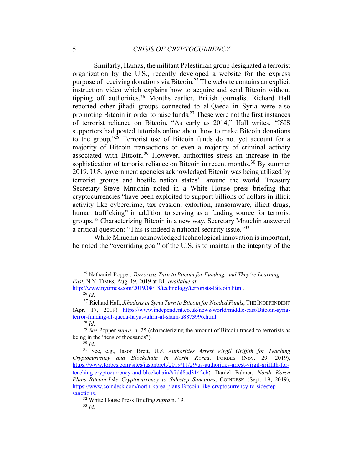Similarly, Hamas, the militant Palestinian group designated a terrorist organization by the U.S., recently developed a website for the express purpose of receiving donations via Bitcoin. <sup>25</sup> The website contains an explicit instruction video which explains how to acquire and send Bitcoin without tipping off authorities.26 Months earlier, British journalist Richard Hall reported other jihadi groups connected to al-Qaeda in Syria were also promoting Bitcoin in order to raise funds.27 These were not the first instances of terrorist reliance on Bitcoin. "As early as 2014," Hall writes, "ISIS supporters had posted tutorials online about how to make Bitcoin donations to the group."28 Terrorist use of Bitcoin funds do not yet account for a majority of Bitcoin transactions or even a majority of criminal activity associated with Bitcoin.29 However, authorities stress an increase in the sophistication of terrorist reliance on Bitcoin in recent months.<sup>30</sup> By summer 2019, U.S. government agencies acknowledged Bitcoin was being utilized by terrorist groups and hostile nation states<sup>31</sup> around the world. Treasury Secretary Steve Mnuchin noted in a White House press briefing that cryptocurrencies "have been exploited to support billions of dollars in illicit activity like cybercrime, tax evasion, extortion, ransomware, illicit drugs, human trafficking" in addition to serving as a funding source for terrorist groups.32 Characterizing Bitcoin in a new way, Secretary Mnuchin answered a critical question: "This is indeed a national security issue."33

While Mnuchin acknowledged technological innovation is important, he noted the "overriding goal" of the U.S. is to maintain the integrity of the

 <sup>25</sup> Nathaniel Popper, *Terrorists Turn to Bitcoin for Funding, and They're Learning Fast*, N.Y. TIMES, Aug. 19, 2019 at B1, *available at*

http://www.nytimes.com/2019/08/18/technology/terrorists-Bitcoin.html. 26 *Id.*

<sup>27</sup> Richard Hall, *Jihadists in Syria Turn to Bitcoin for Needed Funds*, THE INDEPENDENT (Apr. 17, 2019) https://www.independent.co.uk/news/world/middle-east/Bitcoin-syriaterror-funding-al-qaeda-hayat-tahrir-al-sham-a8873996.html.

<sup>28</sup> *Id.*

<sup>29</sup> *See* Popper *supra*, n. 25 (characterizing the amount of Bitcoin traced to terrorists as being in the "tens of thousands").

<sup>30</sup> *Id.*

<sup>31</sup> See, e.g., Jason Brett, U*.S. Authorities Arrest Virgil Griffith for Teaching Cryptocurrency and Blockchain in North Korea*, FORBES (Nov. 29, 2019), https://www.forbes.com/sites/jasonbrett/2019/11/29/us-authorities-arrest-virgil-griffith-forteaching-cryptocurrency-and-blockchain/#7dd8ad3142cb; Daniel Palmer, *North Korea Plans Bitcoin-Like Cryptocurrency to Sidestep Sanctions*, COINDESK (Sept. 19, 2019), https://www.coindesk.com/north-korea-plans-Bitcoin-like-cryptocurrency-to-sidestep-

sanctions. 32 White House Press Briefing *supra* n. 19.

<sup>33</sup> *Id.*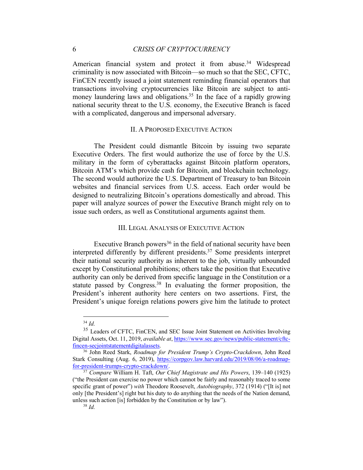# 6 *CRISIS OF CRYPTOCURRENCY*

American financial system and protect it from abuse.<sup>34</sup> Widespread criminality is now associated with Bitcoin—so much so that the SEC, CFTC, FinCEN recently issued a joint statement reminding financial operators that transactions involving cryptocurrencies like Bitcoin are subject to antimoney laundering laws and obligations.<sup>35</sup> In the face of a rapidly growing national security threat to the U.S. economy, the Executive Branch is faced with a complicated, dangerous and impersonal adversary.

#### II. A PROPOSED EXECUTIVE ACTION

The President could dismantle Bitcoin by issuing two separate Executive Orders. The first would authorize the use of force by the U.S. military in the form of cyberattacks against Bitcoin platform operators, Bitcoin ATM's which provide cash for Bitcoin, and blockchain technology. The second would authorize the U.S. Department of Treasury to ban Bitcoin websites and financial services from U.S. access. Each order would be designed to neutralizing Bitcoin's operations domestically and abroad. This paper will analyze sources of power the Executive Branch might rely on to issue such orders, as well as Constitutional arguments against them.

#### III. LEGAL ANALYSIS OF EXECUTIVE ACTION

Executive Branch powers<sup>36</sup> in the field of national security have been interpreted differently by different presidents.37 Some presidents interpret their national security authority as inherent to the job, virtually unbounded except by Constitutional prohibitions; others take the position that Executive authority can only be derived from specific language in the Constitution or a statute passed by Congress.<sup>38</sup> In evaluating the former proposition, the President's inherent authority here centers on two assertions. First, the President's unique foreign relations powers give him the latitude to protect

 <sup>34</sup> *Id.*

<sup>&</sup>lt;sup>35</sup> Leaders of CFTC, FinCEN, and SEC Issue Joint Statement on Activities Involving Digital Assets, Oct. 11, 2019, *available at*, https://www.sec.gov/news/public-statement/cftcfincen-secjointstatementdigitalassets. 36 John Reed Stark, *Roadmap for President Trump's Crypto-Crackdown*, John Reed

Stark Consulting (Aug. 6, 2019), https://corpgov.law.harvard.edu/2019/08/06/a-roadmapfor-president-trumps-crypto-crackdown/.

<sup>37</sup> *Compare* William H. Taft, *Our Chief Magistrate and His Powers*, 139–140 (1925) ("the President can exercise no power which cannot be fairly and reasonably traced to some specific grant of power") *with* Theodore Roosevelt, *Autobiography*, 372 (1914) ("[It is] not only [the President's] right but his duty to do anything that the needs of the Nation demand, unless such action [is] forbidden by the Constitution or by law").  $\frac{38 \text{ } \text{Id}}{1}$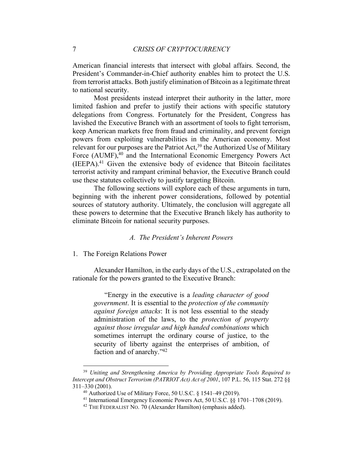American financial interests that intersect with global affairs. Second, the President's Commander-in-Chief authority enables him to protect the U.S. from terrorist attacks. Both justify elimination of Bitcoin as a legitimate threat to national security.

Most presidents instead interpret their authority in the latter, more limited fashion and prefer to justify their actions with specific statutory delegations from Congress. Fortunately for the President, Congress has lavished the Executive Branch with an assortment of tools to fight terrorism, keep American markets free from fraud and criminality, and prevent foreign powers from exploiting vulnerabilities in the American economy. Most relevant for our purposes are the Patriot Act,<sup>39</sup> the Authorized Use of Military Force (AUMF),<sup>40</sup> and the International Economic Emergency Powers Act (IEEPA). <sup>41</sup> Given the extensive body of evidence that Bitcoin facilitates terrorist activity and rampant criminal behavior, the Executive Branch could use these statutes collectively to justify targeting Bitcoin.

The following sections will explore each of these arguments in turn, beginning with the inherent power considerations, followed by potential sources of statutory authority. Ultimately, the conclusion will aggregate all these powers to determine that the Executive Branch likely has authority to eliminate Bitcoin for national security purposes.

# *A. The President's Inherent Powers*

1. The Foreign Relations Power

Alexander Hamilton, in the early days of the U.S., extrapolated on the rationale for the powers granted to the Executive Branch:

"Energy in the executive is a *leading character of good government*. It is essential to the *protection of the community against foreign attacks*: It is not less essential to the steady administration of the laws, to the *protection of property against those irregular and high handed combinations* which sometimes interrupt the ordinary course of justice, to the security of liberty against the enterprises of ambition, of faction and of anarchy."42

 <sup>39</sup> *Uniting and Strengthening America by Providing Appropriate Tools Required to Intercept and Obstruct Terrorism (PATRIOT Act) Act of 2001*, 107 P.L. 56, 115 Stat. 272 §§ 311–330 (2001).

<sup>&</sup>lt;sup>40</sup> Authorized Use of Military Force, 50 U.S.C.  $\frac{1541-49(2019)}{2019}$ .

<sup>41</sup> International Emergency Economic Powers Act, 50 U.S.C. §§ 1701–1708 (2019).

<sup>&</sup>lt;sup>42</sup> THE FEDERALIST NO. 70 (Alexander Hamilton) (emphasis added).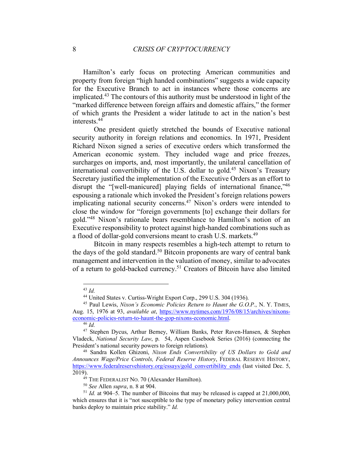Hamilton's early focus on protecting American communities and property from foreign "high handed combinations" suggests a wide capacity for the Executive Branch to act in instances where those concerns are implicated.43 The contours of this authority must be understood in light of the "marked difference between foreign affairs and domestic affairs," the former of which grants the President a wider latitude to act in the nation's best interests.44

One president quietly stretched the bounds of Executive national security authority in foreign relations and economics. In 1971, President Richard Nixon signed a series of executive orders which transformed the American economic system. They included wage and price freezes, surcharges on imports, and, most importantly, the unilateral cancellation of international convertibility of the U.S. dollar to gold.<sup>45</sup> Nixon's Treasury Secretary justified the implementation of the Executive Orders as an effort to disrupt the "[well-manicured] playing fields of international finance, <sup>46</sup> espousing a rationale which invoked the President's foreign relations powers implicating national security concerns.<sup>47</sup> Nixon's orders were intended to close the window for "foreign governments [to] exchange their dollars for gold."48 Nixon's rationale bears resemblance to Hamilton's notion of an Executive responsibility to protect against high-handed combinations such as a flood of dollar-gold conversions meant to crash U.S. markets.<sup>49</sup>

Bitcoin in many respects resembles a high-tech attempt to return to the days of the gold standard.<sup>50</sup> Bitcoin proponents are wary of central bank management and intervention in the valuation of money, similar to advocates of a return to gold-backed currency.51 Creators of Bitcoin have also limited

 <sup>43</sup> *Id.*

<sup>44</sup> United States v. Curtiss-Wright Export Corp., 299 U.S. 304 (1936).

<sup>45</sup> Paul Lewis, *Nixon's Economic Policies Return to Haunt the G.O.P.*, N. Y. TIMES, Aug. 15, 1976 at 93, *available at*, https://www.nytimes.com/1976/08/15/archives/nixonseconomic-policies-return-to-haunt-the-gop-nixons-economic.html. <sup>46</sup> *Id.*

<sup>47</sup> Stephen Dycus, Arthur Berney, William Banks, Peter Raven-Hansen, & Stephen Vladeck, *National Security Law*, p. 54, Aspen Casebook Series (2016) (connecting the President's national security powers to foreign relations).

<sup>48</sup> Sandra Kollen Ghizoni, *Nixon Ends Convertibility of US Dollars to Gold and Announces Wage/Price Controls, Federal Reserve History*, FEDERAL RESERVE HISTORY, https://www.federalreservehistory.org/essays/gold\_convertibility\_ends (last visited Dec. 5, 2019).

<sup>&</sup>lt;sup>49</sup> THE FEDERALIST NO. 70 (Alexander Hamilton).

<sup>50</sup> *See* Allen *supra*, n. 8 at 904. 51 *Id.* at 904–5. The number of Bitcoins that may be released is capped at 21,000,000, which ensures that it is "not susceptible to the type of monetary policy intervention central banks deploy to maintain price stability." *Id.*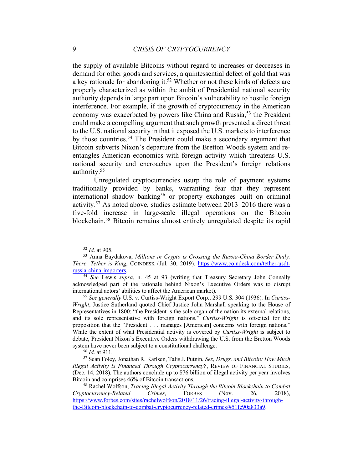the supply of available Bitcoins without regard to increases or decreases in demand for other goods and services, a quintessential defect of gold that was a key rationale for abandoning it.<sup>52</sup> Whether or not these kinds of defects are properly characterized as within the ambit of Presidential national security authority depends in large part upon Bitcoin's vulnerability to hostile foreign interference. For example, if the growth of cryptocurrency in the American economy was exacerbated by powers like China and Russia,53 the President could make a compelling argument that such growth presented a direct threat to the U.S. national security in that it exposed the U.S. markets to interference by those countries.<sup>54</sup> The President could make a secondary argument that Bitcoin subverts Nixon's departure from the Bretton Woods system and reentangles American economics with foreign activity which threatens U.S. national security and encroaches upon the President's foreign relations authority.55

Unregulated cryptocurrencies usurp the role of payment systems traditionally provided by banks, warranting fear that they represent international shadow banking<sup>56</sup> or property exchanges built on criminal activity.57 As noted above, studies estimate between 2013–2016 there was a five-fold increase in large-scale illegal operations on the Bitcoin blockchain.58 Bitcoin remains almost entirely unregulated despite its rapid

 <sup>52</sup> *Id.* at 905.

<sup>53</sup> Anna Baydakova, *Millions in Crypto is Crossing the Russia-China Border Daily. There, Tether is King*, COINDESK (Jul. 30, 2019), https://www.coindesk.com/tether-usdtrussia-china-importers.

<sup>54</sup> *See* Lewis *supra*, n. 45 at 93 (writing that Treasury Secretary John Connally acknowledged part of the rationale behind Nixon's Executive Orders was to disrupt international actors' abilities to affect the American market).

<sup>55</sup> *See generally* U.S. v. Curtiss-Wright Export Corp., 299 U.S. 304 (1936). In *Curtiss-Wright*, Justice Sutherland quoted Chief Justice John Marshall speaking to the House of Representatives in 1800: "the President is the sole organ of the nation its external relations, and its sole representative with foreign nations." *Curtiss-Wright* is oft-cited for the proposition that the "President . . . manages [American] concerns with foreign nations." While the extent of what Presidential activity is covered by *Curtiss-Wright* is subject to debate, President Nixon's Executive Orders withdrawing the U.S. from the Bretton Woods system have never been subject to a constitutional challenge.

<sup>56</sup> *Id.* at 911.

<sup>57</sup> Sean Foley, Jonathan R. Karlsen, Talis J. Putnin, *Sex, Drugs, and Bitcoin: How Much Illegal Activity is Financed Through Cryptocurrency?*, REVIEW OF FINANCIAL STUDIES, (Dec. 14, 2018). The authors conclude up to \$76 billion of illegal activity per year involves Bitcoin and comprises 46% of Bitcoin transactions. 58 Rachel Wolfson, *Tracing Illegal Activity Through the Bitcoin Blockchain to Combat* 

*Cryptocurrency-Related Crimes*, FORBES (Nov. 26, 2018), https://www.forbes.com/sites/rachelwolfson/2018/11/26/tracing-illegal-activity-throughthe-Bitcoin-blockchain-to-combat-cryptocurrency-related-crimes/#51fe90a833a9.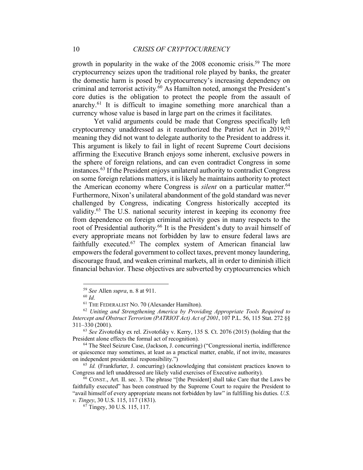growth in popularity in the wake of the 2008 economic crisis.<sup>59</sup> The more cryptocurrency seizes upon the traditional role played by banks, the greater the domestic harm is posed by cryptocurrency's increasing dependency on criminal and terrorist activity.60 As Hamilton noted, amongst the President's core duties is the obligation to protect the people from the assault of anarchy.61 It is difficult to imagine something more anarchical than a currency whose value is based in large part on the crimes it facilitates.

Yet valid arguments could be made that Congress specifically left cryptocurrency unaddressed as it reauthorized the Patriot Act in  $2019^{62}$ meaning they did not want to delegate authority to the President to address it. This argument is likely to fail in light of recent Supreme Court decisions affirming the Executive Branch enjoys some inherent, exclusive powers in the sphere of foreign relations, and can even contradict Congress in some instances. <sup>63</sup> If the President enjoys unilateral authority to contradict Congress on some foreign relations matters, it is likely he maintains authority to protect the American economy where Congress is *silent* on a particular matter.<sup>64</sup> Furthermore, Nixon's unilateral abandonment of the gold standard was never challenged by Congress, indicating Congress historically accepted its validity.65 The U.S. national security interest in keeping its economy free from dependence on foreign criminal activity goes in many respects to the root of Presidential authority.<sup>66</sup> It is the President's duty to avail himself of every appropriate means not forbidden by law to ensure federal laws are faithfully executed.<sup>67</sup> The complex system of American financial law empowers the federal government to collect taxes, prevent money laundering, discourage fraud, and weaken criminal markets, all in order to diminish illicit financial behavior. These objectives are subverted by cryptocurrencies which

 <sup>59</sup> *See* Allen *supra*, n. 8 at 911.

<sup>60</sup> *Id.*

<sup>61</sup> THE FEDERALIST NO. 70 (Alexander Hamilton).

<sup>62</sup> *Uniting and Strengthening America by Providing Appropriate Tools Required to Intercept and Obstruct Terrorism (PATRIOT Act) Act of 2001*, 107 P.L. 56, 115 Stat. 272 §§ 311–330 (2001).

<sup>63</sup> *See* Zivotofsky ex rel. Zivotofsky v. Kerry, 135 S. Ct. 2076 (2015) (holding that the President alone effects the formal act of recognition).

<sup>64</sup> The Steel Seizure Case, (Jackson, J. concurring) ("Congressional inertia, indifference or quiescence may sometimes, at least as a practical matter, enable, if not invite, measures on independent presidential responsibility.")

<sup>&</sup>lt;sup>65</sup> *Id.* (Frankfurter, J. concurring) (acknowledging that consistent practices known to Congress and left unaddressed are likely valid exercises of Executive authority).

<sup>66</sup> CONST., Art. II. sec. 3. The phrase "[the President] shall take Care that the Laws be faithfully executed" has been construed by the Supreme Court to require the President to "avail himself of every appropriate means not forbidden by law" in fulfilling his duties. *U.S. v. Tingey*, 30 U.S. 115, 117 (1831).

 $67$  Tingey, 30 U.S. 115, 117.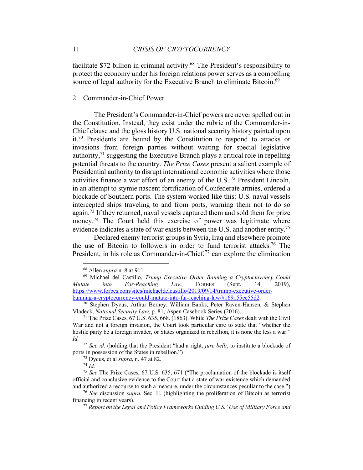facilitate \$72 billion in criminal activity.68 The President's responsibility to protect the economy under his foreign relations power serves as a compelling source of legal authority for the Executive Branch to eliminate Bitcoin.<sup>69</sup>

# 2. Commander-in-Chief Power

The President's Commander-in-Chief powers are never spelled out in the Constitution. Instead, they exist under the rubric of the Commander-in-Chief clause and the gloss history U.S. national security history painted upon it.70 Presidents are bound by the Constitution to respond to attacks or invasions from foreign parties without waiting for special legislative authority, $71$  suggesting the Executive Branch plays a critical role in repelling potential threats to the country. *The Prize Cases* present a salient example of Presidential authority to disrupt international economic activities where those activities finance a war effort of an enemy of the U.S..72 President Lincoln, in an attempt to stymie nascent fortification of Confederate armies, ordered a blockade of Southern ports. The system worked like this: U.S. naval vessels intercepted ships traveling to and from ports, warning them not to do so again.<sup>73</sup> If they returned, naval vessels captured them and sold them for prize money.<sup>74</sup> The Court held this exercise of power was legitimate where evidence indicates a state of war exists between the U.S. and another entity.75

Declared enemy terrorist groups in Syria, Iraq and elsewhere promote the use of Bitcoin to followers in order to fund terrorist attacks.76 The President, in his role as Commander-in-Chief,<sup>77</sup> can explore the elimination

 <sup>68</sup> Allen *supra* n. 8 at 911.

<sup>69</sup> Michael del Castillo, *Trump Executive Order Banning a Cryptocurrency Could Mutate into Far-Reaching Law*, FORBES (Sept. 14, 2019), https://www.forbes.com/sites/michaeldelcastillo/2019/09/14/trump-executive-orderbanning-a-cryptocurrency-could-mutate-into-far-reaching-law/#169155ee55d2.

<sup>70</sup> Stephen Dycus, Arthur Berney, William Banks, Peter Raven-Hansen, & Stephen Vladeck, *National Security Law*, p. 81, Aspen Casebook Series (2016).

<sup>71</sup> The Prize Cases, 67 U.S. 635, 668. (1863). While *The Prize Cases* dealt with the Civil War and not a foreign invasion, the Court took particular care to state that "whether the hostile party be a foreign invader, or States organized in rebellion, it is none the less a war." *Id.*

<sup>72</sup> *See id.* (holding that the President "had a right, *jure belli*, to institute a blockade of ports in possession of the States in rebellion.")

<sup>73</sup> Dycus, et al *supra*, n. 47 at 82.

<sup>74</sup> *Id.*

<sup>75</sup> *See* The Prize Cases, 67 U.S. 635, 671 ("The proclamation of the blockade is itself official and conclusive evidence to the Court that a state of war existence which demanded and authorized a recourse to such a measure, under the circumstances peculiar to the case.") 76 *See* discussion *supra*, Sec. II. (highlighting the proliferation of Bitcoin as terrorist

financing in recent years).

<sup>77</sup> *Report on the Legal and Policy Frameworks Guiding U.S.' Use of Military Force and*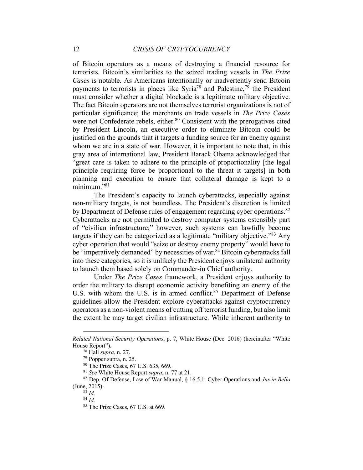of Bitcoin operators as a means of destroying a financial resource for terrorists. Bitcoin's similarities to the seized trading vessels in *The Prize Cases* is notable. As Americans intentionally or inadvertently send Bitcoin payments to terrorists in places like Syria<sup>78</sup> and Palestine,<sup>79</sup> the President must consider whether a digital blockade is a legitimate military objective. The fact Bitcoin operators are not themselves terrorist organizations is not of particular significance; the merchants on trade vessels in *The Prize Cases* were not Confederate rebels, either.<sup>80</sup> Consistent with the prerogatives cited by President Lincoln, an executive order to eliminate Bitcoin could be justified on the grounds that it targets a funding source for an enemy against whom we are in a state of war. However, it is important to note that, in this gray area of international law, President Barack Obama acknowledged that "great care is taken to adhere to the principle of proportionality [the legal principle requiring force be proportional to the threat it targets] in both planning and execution to ensure that collateral damage is kept to a  $minimum$ <sup>281</sup>

The President's capacity to launch cyberattacks, especially against non-military targets, is not boundless. The President's discretion is limited by Department of Defense rules of engagement regarding cyber operations.<sup>82</sup> Cyberattacks are not permitted to destroy computer systems ostensibly part of "civilian infrastructure;" however, such systems can lawfully become targets if they can be categorized as a legitimate "military objective."83 Any cyber operation that would "seize or destroy enemy property" would have to be "imperatively demanded" by necessities of war.<sup>84</sup> Bitcoin cyberattacks fall into these categories, so it is unlikely the President enjoys unilateral authority to launch them based solely on Commander-in Chief authority.

Under *The Prize Cases* framework, a President enjoys authority to order the military to disrupt economic activity benefiting an enemy of the U.S. with whom the U.S. is in armed conflict.<sup>85</sup> Department of Defense guidelines allow the President explore cyberattacks against cryptocurrency operators as a non-violent means of cutting off terrorist funding, but also limit the extent he may target civilian infrastructure. While inherent authority to

 $\overline{a}$ 

*Related National Security Operations*, p. 7, White House (Dec. 2016) (hereinafter "White House Report").

<sup>78</sup> Hall *supra*, n. 27.

<sup>79</sup> Popper supra, n. 25.

<sup>80</sup> The Prize Cases, 67 U.S. 635, 669.

<sup>81</sup> *See* White House Report *supra*, n. 77 at 21.

<sup>82</sup> Dep. Of Defense, Law of War Manual, § 16.5.1: Cyber Operations and *Jus in Bello* (June, 2015).

<sup>83</sup> *Id.*

<sup>84</sup> *Id.*

<sup>&</sup>lt;sup>85</sup> The Prize Cases, 67 U.S. at 669.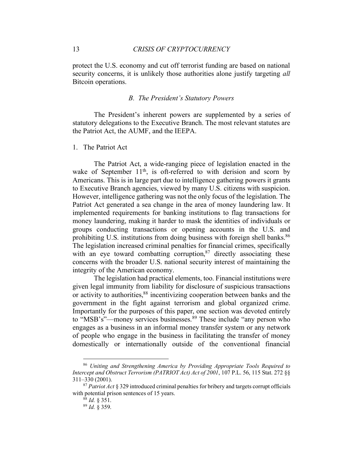protect the U.S. economy and cut off terrorist funding are based on national security concerns, it is unlikely those authorities alone justify targeting *all* Bitcoin operations.

### *B. The President's Statutory Powers*

The President's inherent powers are supplemented by a series of statutory delegations to the Executive Branch. The most relevant statutes are the Patriot Act, the AUMF, and the IEEPA.

#### 1. The Patriot Act

The Patriot Act, a wide-ranging piece of legislation enacted in the wake of September  $11<sup>th</sup>$ , is oft-referred to with derision and scorn by Americans. This is in large part due to intelligence gathering powers it grants to Executive Branch agencies, viewed by many U.S. citizens with suspicion. However, intelligence gathering was not the only focus of the legislation. The Patriot Act generated a sea change in the area of money laundering law. It implemented requirements for banking institutions to flag transactions for money laundering, making it harder to mask the identities of individuals or groups conducting transactions or opening accounts in the U.S. and prohibiting U.S. institutions from doing business with foreign shell banks.<sup>86</sup> The legislation increased criminal penalties for financial crimes, specifically with an eye toward combatting corruption,<sup>87</sup> directly associating these concerns with the broader U.S. national security interest of maintaining the integrity of the American economy.

The legislation had practical elements, too. Financial institutions were given legal immunity from liability for disclosure of suspicious transactions or activity to authorities,<sup>88</sup> incentivizing cooperation between banks and the government in the fight against terrorism and global organized crime. Importantly for the purposes of this paper, one section was devoted entirely to "MSB's"—money services businesses.<sup>89</sup> These include "any person who engages as a business in an informal money transfer system or any network of people who engage in the business in facilitating the transfer of money domestically or internationally outside of the conventional financial

 <sup>86</sup> *Uniting and Strengthening America by Providing Appropriate Tools Required to Intercept and Obstruct Terrorism (PATRIOT Act) Act of 2001*, 107 P.L. 56, 115 Stat. 272 §§ 311–330 (2001).

<sup>87</sup> *Patriot Act* § 329 introduced criminal penalties for bribery and targets corrupt officials with potential prison sentences of 15 years.

<sup>88</sup> *Id.* § 351.

<sup>89</sup> *Id.* § 359.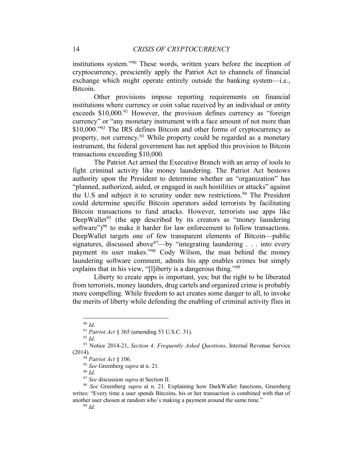institutions system."90 These words, written years before the inception of cryptocurrency, presciently apply the Patriot Act to channels of financial exchange which might operate entirely outside the banking system—i.e., Bitcoin.

Other provisions impose reporting requirements on financial institutions where currency or coin value received by an individual or entity exceeds \$10,000.<sup>91</sup> However, the provision defines currency as "foreign currency" or "any monetary instrument with a face amount of not more than \$10,000."<sup>92</sup> The IRS defines Bitcoin and other forms of cryptocurrency as property, not currency.<sup>93</sup> While property could be regarded as a monetary instrument, the federal government has not applied this provision to Bitcoin transactions exceeding \$10,000.

The Patriot Act armed the Executive Branch with an array of tools to fight criminal activity like money laundering. The Patriot Act bestows authority upon the President to determine whether an "organization" has "planned, authorized, aided, or engaged in such hostilities or attacks" against the U.S and subject it to scrutiny under new restrictions.<sup>94</sup> The President could determine specific Bitcoin operators aided terrorists by facilitating Bitcoin transactions to fund attacks. However, terrorists use apps like DeepWallet<sup>95</sup> (the app described by its creators as "money laundering") software")<sup>96</sup> to make it harder for law enforcement to follow transactions. DeepWallet targets one of few transparent elements of Bitcoin—public signatures, discussed above  $97$ —by "integrating laundering . . . into every payment its user makes."98 Cody Wilson, the man behind the money laundering software comment, admits his app enables crimes but simply explains that in his view, "[l]iberty is a dangerous thing."<sup>99</sup>

Liberty to create apps is important, yes; but the right to be liberated from terrorists, money launders, drug cartels and organized crime is probably more compelling. While freedom to act creates some danger to all, to invoke the merits of liberty while defending the enabling of criminal activity flies in

<sup>96</sup> *Id.*

 <sup>90</sup> *Id.*

<sup>91</sup> *Patriot Act* § 365 (amending 53 U.S.C. 31).

<sup>92</sup> *Id.*

<sup>93</sup> Notice 2014-21, *Section 4. Frequently Asked Questions*, Internal Revenue Service (2014).

<sup>94</sup> *Patriot Act* § 106.

<sup>95</sup> *See* Greenberg *supra* at n. 21.

<sup>97</sup> *See* discussion *supra* at Section II.

<sup>98</sup> *See* Greenberg *supra* at n. 21. Explaining how DarkWallet functions, Greenberg writes: "Every time a user spends Bitcoins, his or her transaction is combined with that of another user chosen at random who's making a payment around the same time." <sup>99</sup> *Id.*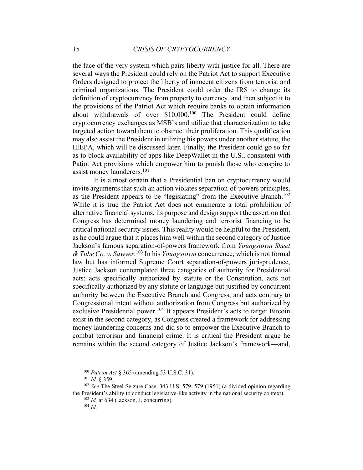the face of the very system which pairs liberty with justice for all. There are several ways the President could rely on the Patriot Act to support Executive Orders designed to protect the liberty of innocent citizens from terrorist and criminal organizations. The President could order the IRS to change its definition of cryptocurrency from property to currency, and then subject it to the provisions of the Patriot Act which require banks to obtain information about withdrawals of over \$10,000.100 The President could define cryptocurrency exchanges as MSB's and utilize that characterization to take targeted action toward them to obstruct their proliferation. This qualification may also assist the President in utilizing his powers under another statute, the IEEPA, which will be discussed later. Finally, the President could go so far as to block availability of apps like DeepWallet in the U.S., consistent with Patiot Act provisions which empower him to punish those who conspire to assist money launderers.101

It is almost certain that a Presidential ban on cryptocurrency would invite arguments that such an action violates separation-of-powers principles, as the President appears to be "legislating" from the Executive Branch.102 While it is true the Patriot Act does not enumerate a total prohibition of alternative financial systems, its purpose and design support the assertion that Congress has determined money laundering and terrorist financing to be critical national security issues. This reality would be helpful to the President, as he could argue that it places him well within the second category of Justice Jackson's famous separation-of-powers framework from *Youngstown Sheet & Tube Co. v. Sawyer*. <sup>103</sup> In his *Youngstown* concurrence, which is not formal law but has informed Supreme Court separation-of-powers jurisprudence, Justice Jackson contemplated three categories of authority for Presidential acts: acts specifically authorized by statute or the Constitution, acts not specifically authorized by any statute or language but justified by concurrent authority between the Executive Branch and Congress, and acts contrary to Congressional intent without authorization from Congress but authorized by exclusive Presidential power.<sup>104</sup> It appears President's acts to target Bitcoin exist in the second category, as Congress created a framework for addressing money laundering concerns and did so to empower the Executive Branch to combat terrorism and financial crime. It is critical the President argue he remains within the second category of Justice Jackson's framework—and,

 <sup>100</sup> *Patriot Act* § 365 (amending 53 U.S.C. 31).

<sup>101</sup> *Id.* § 359.

<sup>102</sup> *See* The Steel Seizure Case, 343 U.S. 579, 579 (1951) (a divided opinion regarding the President's ability to conduct legislative-like activity in the national security context).

<sup>103</sup> *Id.* at 634 (Jackson, J. concurring).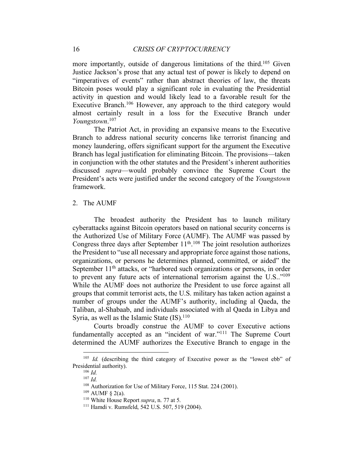more importantly, outside of dangerous limitations of the third.<sup>105</sup> Given Justice Jackson's prose that any actual test of power is likely to depend on "imperatives of events" rather than abstract theories of law, the threats Bitcoin poses would play a significant role in evaluating the Presidential activity in question and would likely lead to a favorable result for the Executive Branch.<sup>106</sup> However, any approach to the third category would almost certainly result in a loss for the Executive Branch under *Youngstown*. 107

The Patriot Act, in providing an expansive means to the Executive Branch to address national security concerns like terrorist financing and money laundering, offers significant support for the argument the Executive Branch has legal justification for eliminating Bitcoin. The provisions—taken in conjunction with the other statutes and the President's inherent authorities discussed *supra*—would probably convince the Supreme Court the President's acts were justified under the second category of the *Youngstown* framework.

# 2. The AUMF

The broadest authority the President has to launch military cyberattacks against Bitcoin operators based on national security concerns is the Authorized Use of Military Force (AUMF). The AUMF was passed by Congress three days after September  $11<sup>th</sup>$ .<sup>108</sup> The joint resolution authorizes the President to "use all necessary and appropriate force against those nations, organizations, or persons he determines planned, committed, or aided" the September  $11<sup>th</sup>$  attacks, or "harbored such organizations or persons, in order to prevent any future acts of international terrorism against the U.S.."109 While the AUMF does not authorize the President to use force against all groups that commit terrorist acts, the U.S. military has taken action against a number of groups under the AUMF's authority, including al Qaeda, the Taliban, al-Shabaab, and individuals associated with al Qaeda in Libya and Syria, as well as the Islamic State  $(IS)$ .<sup>110</sup>

Courts broadly construe the AUMF to cover Executive actions fundamentally accepted as an "incident of war."<sup>111</sup> The Supreme Court determined the AUMF authorizes the Executive Branch to engage in the

<sup>&</sup>lt;sup>105</sup> *Id.* (describing the third category of Executive power as the "lowest ebb" of Presidential authority).

<sup>106</sup> *Id.* <sup>107</sup> *Id.*

<sup>108</sup> Authorization for Use of Military Force, 115 Stat. 224 (2001).

 $109$  AUMF § 2(a).

<sup>110</sup> White House Report *supra*, n. 77 at 5.

<sup>111</sup> Hamdi v. Rumsfeld, 542 U.S. 507, 519 (2004).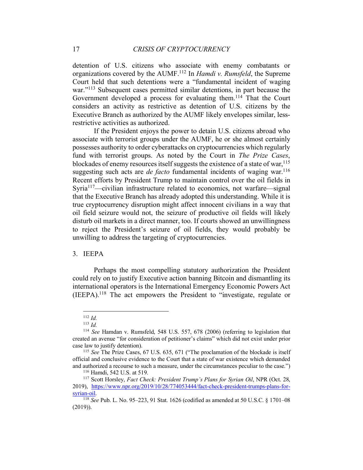detention of U.S. citizens who associate with enemy combatants or organizations covered by the AUMF. <sup>112</sup> In *Hamdi v. Rumsfeld*, the Supreme Court held that such detentions were a "fundamental incident of waging war."<sup>113</sup> Subsequent cases permitted similar detentions, in part because the Government developed a process for evaluating them.114 That the Court considers an activity as restrictive as detention of U.S. citizens by the Executive Branch as authorized by the AUMF likely envelopes similar, lessrestrictive activities as authorized.

If the President enjoys the power to detain U.S. citizens abroad who associate with terrorist groups under the AUMF, he or she almost certainly possesses authority to order cyberattacks on cryptocurrencies which regularly fund with terrorist groups. As noted by the Court in *The Prize Cases*, blockades of enemy resources itself suggests the existence of a state of war,  $115$ suggesting such acts are *de facto* fundamental incidents of waging war.<sup>116</sup> Recent efforts by President Trump to maintain control over the oil fields in Syria117—civilian infrastructure related to economics, not warfare—signal that the Executive Branch has already adopted this understanding. While it is true cryptocurrency disruption might affect innocent civilians in a way that oil field seizure would not, the seizure of productive oil fields will likely disturb oil markets in a direct manner, too. If courts showed an unwillingness to reject the President's seizure of oil fields, they would probably be unwilling to address the targeting of cryptocurrencies.

#### 3. IEEPA

Perhaps the most compelling statutory authorization the President could rely on to justify Executive action banning Bitcoin and dismantling its international operators is the International Emergency Economic Powers Act (IEEPA).118 The act empowers the President to "investigate, regulate or

 <sup>112</sup> *Id.*

<sup>113</sup> *Id.*

<sup>114</sup> *See* Hamdan v. Rumsfeld, 548 U.S. 557, 678 (2006) (referring to legislation that created an avenue "for consideration of petitioner's claims" which did not exist under prior case law to justify detention).

<sup>115</sup> *See* The Prize Cases, 67 U.S. 635, 671 ("The proclamation of the blockade is itself official and conclusive evidence to the Court that a state of war existence which demanded and authorized a recourse to such a measure, under the circumstances peculiar to the case.") 116 Hamdi, 542 U.S. at 519.

<sup>117</sup> Scott Horsley, *Fact Check: President Trump's Plans for Syrian Oil*, NPR (Oct. 28, 2019), https://www.npr.org/2019/10/28/774053444/fact-check-president-trumps-plans-forsyrian-oil.

<sup>118</sup> *See* Pub. L. No. 95–223, 91 Stat. 1626 (codified as amended at 50 U.S.C. § 1701–08 (2019)).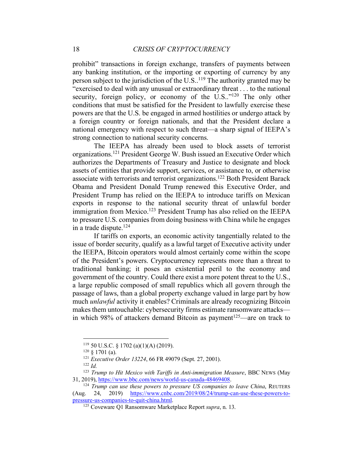prohibit" transactions in foreign exchange, transfers of payments between any banking institution, or the importing or exporting of currency by any person subject to the jurisdiction of the U.S..<sup>119</sup> The authority granted may be "exercised to deal with any unusual or extraordinary threat . . . to the national security, foreign policy, or economy of the U.S.."<sup>120</sup> The only other conditions that must be satisfied for the President to lawfully exercise these powers are that the U.S. be engaged in armed hostilities or undergo attack by a foreign country or foreign nationals, and that the President declare a national emergency with respect to such threat—a sharp signal of IEEPA's strong connection to national security concerns.

The IEEPA has already been used to block assets of terrorist organizations.121 President George W. Bush issued an Executive Order which authorizes the Departments of Treasury and Justice to designate and block assets of entities that provide support, services, or assistance to, or otherwise associate with terrorists and terrorist organizations.122 Both President Barack Obama and President Donald Trump renewed this Executive Order, and President Trump has relied on the IEEPA to introduce tariffs on Mexican exports in response to the national security threat of unlawful border immigration from Mexico.<sup>123</sup> President Trump has also relied on the IEEPA to pressure U.S. companies from doing business with China while he engages in a trade dispute.<sup>124</sup>

If tariffs on exports, an economic activity tangentially related to the issue of border security, qualify as a lawful target of Executive activity under the IEEPA, Bitcoin operators would almost certainly come within the scope of the President's powers. Cryptocurrency represents more than a threat to traditional banking; it poses an existential peril to the economy and government of the country. Could there exist a more potent threat to the U.S., a large republic composed of small republics which all govern through the passage of laws, than a global property exchange valued in large part by how much *unlawful* activity it enables? Criminals are already recognizing Bitcoin makes them untouchable: cybersecurity firms estimate ransomware attacks in which 98% of attackers demand Bitcoin as payment<sup>125</sup>—are on track to

 $119$  50 U.S.C. § 1702 (a)(1)(A) (2019).

 $120 \text{ } 8$  1701 (a).

<sup>121</sup> *Executive Order 13224*, 66 FR 49079 (Sept. 27, 2001).

<sup>122</sup> *Id.*

<sup>123</sup> *Trump to Hit Mexico with Tariffs in Anti-immigration Measure*, BBC NEWS (May 31, 2019), https://www.bbc.com/news/world-us-canada-48469408.

<sup>124</sup> *Trump can use these powers to pressure US companies to leave China*, REUTERS (Aug. 24, 2019) https://www.cnbc.com/2019/08/24/trump-can-use-these-powers-topressure-us-companies-to-quit-china.html.

<sup>125</sup> Coveware Q1 Ransomware Marketplace Report *supra*, n. 13.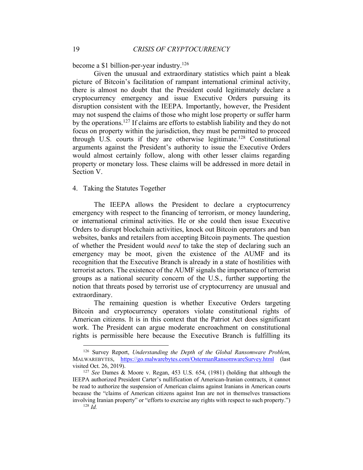become a \$1 billion-per-year industry.126

Given the unusual and extraordinary statistics which paint a bleak picture of Bitcoin's facilitation of rampant international criminal activity, there is almost no doubt that the President could legitimately declare a cryptocurrency emergency and issue Executive Orders pursuing its disruption consistent with the IEEPA. Importantly, however, the President may not suspend the claims of those who might lose property or suffer harm by the operations.127 If claims are efforts to establish liability and they do not focus on property within the jurisdiction, they must be permitted to proceed through U.S. courts if they are otherwise legitimate.<sup>128</sup> Constitutional arguments against the President's authority to issue the Executive Orders would almost certainly follow, along with other lesser claims regarding property or monetary loss. These claims will be addressed in more detail in Section V.

# 4. Taking the Statutes Together

The IEEPA allows the President to declare a cryptocurrency emergency with respect to the financing of terrorism, or money laundering, or international criminal activities. He or she could then issue Executive Orders to disrupt blockchain activities, knock out Bitcoin operators and ban websites, banks and retailers from accepting Bitcoin payments. The question of whether the President would *need* to take the step of declaring such an emergency may be moot, given the existence of the AUMF and its recognition that the Executive Branch is already in a state of hostilities with terrorist actors. The existence of the AUMF signals the importance of terrorist groups as a national security concern of the U.S., further supporting the notion that threats posed by terrorist use of cryptocurrency are unusual and extraordinary.

The remaining question is whether Executive Orders targeting Bitcoin and cryptocurrency operators violate constitutional rights of American citizens. It is in this context that the Patriot Act does significant work. The President can argue moderate encroachment on constitutional rights is permissible here because the Executive Branch is fulfilling its

 <sup>126</sup> Survey Report, *Understanding the Depth of the Global Ransomware Problem*, MALWAREBYTES, https://go.malwarebytes.com/OstermanRansomwareSurvey.html (last visited Oct. 26, 2019).

<sup>127</sup> *See* Dames & Moore v. Regan, 453 U.S. 654, (1981) (holding that although the IEEPA authorized President Carter's nullification of American-Iranian contracts, it cannot be read to authorize the suspension of American claims against Iranians in American courts because the "claims of American citizens against Iran are not in themselves transactions involving Iranian property" or "efforts to exercise any rights with respect to such property.")  $128$  *Id.*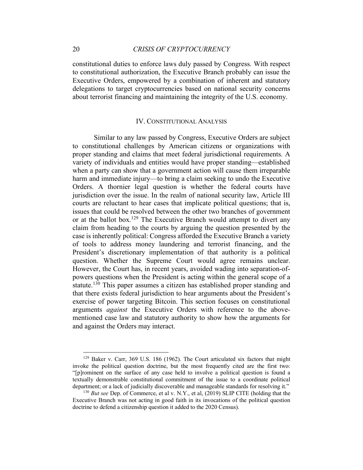constitutional duties to enforce laws duly passed by Congress. With respect to constitutional authorization, the Executive Branch probably can issue the Executive Orders, empowered by a combination of inherent and statutory delegations to target cryptocurrencies based on national security concerns about terrorist financing and maintaining the integrity of the U.S. economy.

#### IV. CONSTITUTIONAL ANALYSIS

Similar to any law passed by Congress, Executive Orders are subject to constitutional challenges by American citizens or organizations with proper standing and claims that meet federal jurisdictional requirements. A variety of individuals and entities would have proper standing—established when a party can show that a government action will cause them irreparable harm and immediate injury—to bring a claim seeking to undo the Executive Orders. A thornier legal question is whether the federal courts have jurisdiction over the issue. In the realm of national security law, Article III courts are reluctant to hear cases that implicate political questions; that is, issues that could be resolved between the other two branches of government or at the ballot box.<sup>129</sup> The Executive Branch would attempt to divert any claim from heading to the courts by arguing the question presented by the case is inherently political: Congress afforded the Executive Branch a variety of tools to address money laundering and terrorist financing, and the President's discretionary implementation of that authority is a political question. Whether the Supreme Court would agree remains unclear. However, the Court has, in recent years, avoided wading into separation-ofpowers questions when the President is acting within the general scope of a statute.<sup>130</sup> This paper assumes a citizen has established proper standing and that there exists federal jurisdiction to hear arguments about the President's exercise of power targeting Bitcoin. This section focuses on constitutional arguments *against* the Executive Orders with reference to the abovementioned case law and statutory authority to show how the arguments for and against the Orders may interact.

 <sup>129</sup> Baker v. Carr, 369 U.S. 186 (1962). The Court articulated six factors that might invoke the political question doctrine, but the most frequently cited are the first two: "[p]rominent on the surface of any case held to involve a political question is found a textually demonstrable constitutional commitment of the issue to a coordinate political department; or a lack of judicially discoverable and manageable standards for resolving it."

<sup>130</sup> *But see* Dep. of Commerce, et al v. N.Y., et al, (2019) SLIP CITE (holding that the Executive Branch was not acting in good faith in its invocations of the political question doctrine to defend a citizenship question it added to the 2020 Census).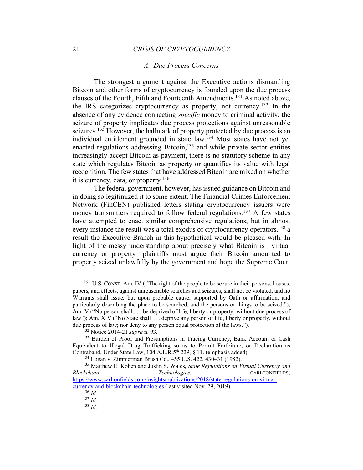#### *A. Due Process Concerns*

The strongest argument against the Executive actions dismantling Bitcoin and other forms of cryptocurrency is founded upon the due process clauses of the Fourth, Fifth and Fourteenth Amendments.131 As noted above, the IRS categorizes cryptocurrency as property, not currency.132 In the absence of any evidence connecting *specific* money to criminal activity, the seizure of property implicates due process protections against unreasonable seizures.<sup>133</sup> However, the hallmark of property protected by due process is an individual entitlement grounded in state law.134 Most states have not yet enacted regulations addressing Bitcoin,<sup>135</sup> and while private sector entities increasingly accept Bitcoin as payment, there is no statutory scheme in any state which regulates Bitcoin as property or quantifies its value with legal recognition. The few states that have addressed Bitcoin are mixed on whether it is currency, data, or property.136

The federal government, however, has issued guidance on Bitcoin and in doing so legitimized it to some extent. The Financial Crimes Enforcement Network (FinCEN) published letters stating cryptocurrency issuers were money transmitters required to follow federal regulations.<sup>137</sup> A few states have attempted to enact similar comprehensive regulations, but in almost every instance the result was a total exodus of cryptocurrency operators, <sup>138</sup> a result the Executive Branch in this hypothetical would be pleased with. In light of the messy understanding about precisely what Bitcoin is—virtual currency or property—plaintiffs must argue their Bitcoin amounted to property seized unlawfully by the government and hope the Supreme Court

<sup>&</sup>lt;sup>131</sup> U.S. CONST. Am. IV ("The right of the people to be secure in their persons, houses, papers, and effects, against unreasonable searches and seizures, shall not be violated, and no Warrants shall issue, but upon probable cause, supported by Oath or affirmation, and particularly describing the place to be searched, and the persons or things to be seized."); Am. V ("No person shall . . . be deprived of life, liberty or property, without due process of law"); Am. XIV ("No State shall . . . deprive any person of life, liberty or property, without due process of law; nor deny to any person equal protection of the laws.").

<sup>132</sup> Notice 2014-21 *supra* n. 93.

<sup>&</sup>lt;sup>133</sup> Burden of Proof and Presumptions in Tracing Currency, Bank Account or Cash Equivalent to Illegal Drug Trafficking so as to Permit Forfeiture, or Declaration as Contraband, Under State Law, 104 A.L.R.5<sup>th</sup> 229, § 11. (emphasis added).

<sup>134</sup> Logan v. Zimmerman Brush Co., 455 U.S. 422, 430–31 (1982).

<sup>135</sup> Matthew E. Kohen and Justin S. Wales, *State Regulations on Virtual Currency and Blockchain Technologies*, CARLTONFIELDS, https://www.carltonfields.com/insights/publications/2018/state-regulations-on-virtualcurrency-and-blockchain-technologies (last visited Nov. 29, 2019).

<sup>136</sup> *Id.*

<sup>137</sup> *Id.*

<sup>138</sup> *Id.*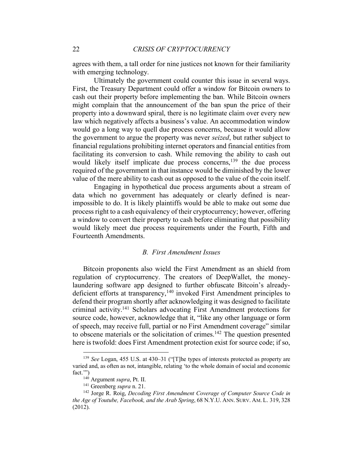agrees with them, a tall order for nine justices not known for their familiarity with emerging technology.

Ultimately the government could counter this issue in several ways. First, the Treasury Department could offer a window for Bitcoin owners to cash out their property before implementing the ban. While Bitcoin owners might complain that the announcement of the ban spun the price of their property into a downward spiral, there is no legitimate claim over every new law which negatively affects a business's value. An accommodation window would go a long way to quell due process concerns, because it would allow the government to argue the property was never *seized*, but rather subject to financial regulations prohibiting internet operators and financial entities from facilitating its conversion to cash. While removing the ability to cash out would likely itself implicate due process concerns,<sup>139</sup> the due process required of the government in that instance would be diminished by the lower value of the mere ability to cash out as opposed to the value of the coin itself.

Engaging in hypothetical due process arguments about a stream of data which no government has adequately or clearly defined is nearimpossible to do. It is likely plaintiffs would be able to make out some due process right to a cash equivalency of their cryptocurrency; however, offering a window to convert their property to cash before eliminating that possibility would likely meet due process requirements under the Fourth, Fifth and Fourteenth Amendments.

#### *B. First Amendment Issues*

Bitcoin proponents also wield the First Amendment as an shield from regulation of cryptocurrency. The creators of DeepWallet, the moneylaundering software app designed to further obfuscate Bitcoin's alreadydeficient efforts at transparency,<sup>140</sup> invoked First Amendment principles to defend their program shortly after acknowledging it was designed to facilitate criminal activity. <sup>141</sup> Scholars advocating First Amendment protections for source code, however, acknowledge that it, "like any other language or form of speech, may receive full, partial or no First Amendment coverage" similar to obscene materials or the solicitation of crimes.<sup>142</sup> The question presented here is twofold: does First Amendment protection exist for source code; if so,

 <sup>139</sup> *See* Logan, 455 U.S. at 430–31 ("[T]he types of interests protected as property are varied and, as often as not, intangible, relating 'to the whole domain of social and economic fact.'")

<sup>140</sup> Argument *supra*, Pt. II.

<sup>141</sup> Greenberg *supra* n. 21.

<sup>142</sup> Jorge R. Roig, *Decoding First Amendment Coverage of Computer Source Code in the Age of Youtube, Facebook, and the Arab Spring*, 68 N.Y.U. ANN. SURV. AM. L. 319, 328 (2012).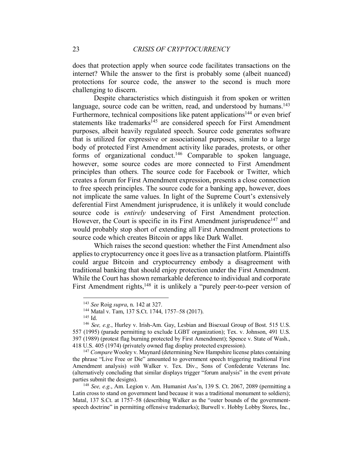does that protection apply when source code facilitates transactions on the internet? While the answer to the first is probably some (albeit nuanced) protections for source code, the answer to the second is much more challenging to discern.

Despite characteristics which distinguish it from spoken or written language, source code can be written, read, and understood by humans.<sup>143</sup> Furthermore, technical compositions like patent applications<sup>144</sup> or even brief statements like trademarks<sup>145</sup> are considered speech for First Amendment purposes, albeit heavily regulated speech. Source code generates software that is utilized for expressive or associational purposes, similar to a large body of protected First Amendment activity like parades, protests, or other forms of organizational conduct.146 Comparable to spoken language, however, some source codes are more connected to First Amendment principles than others. The source code for Facebook or Twitter, which creates a forum for First Amendment expression, presents a close connection to free speech principles. The source code for a banking app, however, does not implicate the same values. In light of the Supreme Court's extensively deferential First Amendment jurisprudence, it is unlikely it would conclude source code is *entirely* undeserving of First Amendment protection. However, the Court is specific in its First Amendment jurisprudence<sup>147</sup> and would probably stop short of extending all First Amendment protections to source code which creates Bitcoin or apps like Dark Wallet.

Which raises the second question: whether the First Amendment also applies to cryptocurrency once it goes live as a transaction platform. Plaintiffs could argue Bitcoin and cryptocurrency embody a disagreement with traditional banking that should enjoy protection under the First Amendment. While the Court has shown remarkable deference to individual and corporate First Amendment rights,<sup>148</sup> it is unlikely a "purely peer-to-peer version of

<sup>147</sup> *Compare* Wooley v. Maynard (determining New Hampshire license plates containing the phrase "Live Free or Die" amounted to government speech triggering traditional First Amendment analysis) *with* Walker v. Tex. Div., Sons of Confederate Veterans Inc. (alternatively concluding that similar displays trigger "forum analysis" in the event private parties submit the designs).

 <sup>143</sup> *See* Roig *supra*, n. 142 at 327.

<sup>144</sup> Matal v. Tam, 137 S.Ct. 1744, 1757–58 (2017).

<sup>145</sup> Id.

<sup>146</sup> *See, e.g.*, Hurley v. Irish-Am. Gay, Lesbian and Bisexual Group of Bost. 515 U.S. 557 (1995) (parade permitting to exclude LGBT organization); Tex. v. Johnson, 491 U.S. 397 (1989) (protest flag burning protected by First Amendment); Spence v. State of Wash., 418 U.S. 405 (1974) (privately owned flag display protected expression).

<sup>148</sup> *See, e.g.*, Am. Legion v. Am. Humanist Ass'n, 139 S. Ct. 2067, 2089 (permitting a Latin cross to stand on government land because it was a traditional monument to soldiers); Matal, 137 S.Ct. at 1757–58 (describing Walker as the "outer bounds of the governmentspeech doctrine" in permitting offensive trademarks); Burwell v. Hobby Lobby Stores, Inc.,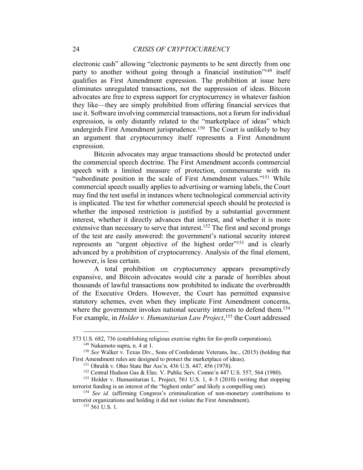electronic cash" allowing "electronic payments to be sent directly from one party to another without going through a financial institution<sup>"149</sup> itself qualifies as First Amendment expression. The prohibition at issue here eliminates unregulated transactions, not the suppression of ideas. Bitcoin advocates are free to express support for cryptocurrency in whatever fashion they like—they are simply prohibited from offering financial services that use it. Software involving commercial transactions, not a forum for individual expression, is only distantly related to the "marketplace of ideas" which undergirds First Amendment jurisprudence.<sup>150</sup> The Court is unlikely to buy an argument that cryptocurrency itself represents a First Amendment expression.

Bitcoin advocates may argue transactions should be protected under the commercial speech doctrine. The First Amendment accords commercial speech with a limited measure of protection, commensurate with its "subordinate position in the scale of First Amendment values."151 While commercial speech usually applies to advertising or warning labels, the Court may find the test useful in instances where technological commercial activity is implicated. The test for whether commercial speech should be protected is whether the imposed restriction is justified by a substantial government interest, whether it directly advances that interest, and whether it is more extensive than necessary to serve that interest.<sup>152</sup> The first and second prongs of the test are easily answered: the government's national security interest represents an "urgent objective of the highest order"<sup>153</sup> and is clearly advanced by a prohibition of cryptocurrency. Analysis of the final element, however, is less certain.

A total prohibition on cryptocurrency appears presumptively expansive, and Bitcoin advocates would cite a parade of horribles about thousands of lawful transactions now prohibited to indicate the overbreadth of the Executive Orders. However, the Court has permitted expansive statutory schemes, even when they implicate First Amendment concerns, where the government invokes national security interests to defend them.<sup>154</sup> For example, in *Holder v. Humanitarian Law Project*, <sup>155</sup> the Court addressed

 $\overline{a}$ 

<sup>573</sup> U.S. 682, 736 (establishing religious exercise rights for for-profit corporations). <sup>149</sup> Nakamoto supra, n. 4 at 1.

<sup>150</sup> *See* Walker v. Texas Div., Sons of Confederate Veterans, Inc., (2015) (holding that First Amendment rules are designed to protect the marketplace of ideas).<br><sup>151</sup> Ohralik v. Ohio State Bar Ass'n. 436 U.S. 447, 456 (1978).

 $152$  Central Hudson Gas & Elec. V. Public Serv. Comm'n 447 U.S. 557, 564 (1980).

<sup>153</sup> Holder v. Humanitarian L. Project, 561 U.S. 1, 4–5 (2010) (writing that stopping terrorist funding is an interest of the "highest order" and likely a compelling one).

<sup>154</sup> *See id.* (affirming Congress's criminalization of non-monetary contributions to terrorist organizations and holding it did not violate the First Amendment).

<sup>155</sup> 561 U.S. 1.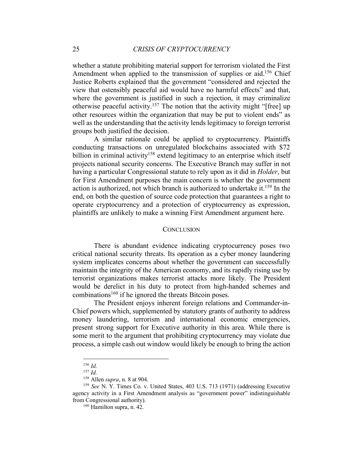whether a statute prohibiting material support for terrorism violated the First Amendment when applied to the transmission of supplies or aid.<sup>156</sup> Chief Justice Roberts explained that the government "considered and rejected the view that ostensibly peaceful aid would have no harmful effects" and that, where the government is justified in such a rejection, it may criminalize otherwise peaceful activity.157 The notion that the activity might "[free] up other resources within the organization that may be put to violent ends" as well as the understanding that the activity lends legitimacy to foreign terrorist groups both justified the decision.

A similar rationale could be applied to cryptocurrency. Plaintiffs conducting transactions on unregulated blockchains associated with \$72 billion in criminal activity<sup>158</sup> extend legitimacy to an enterprise which itself projects national security concerns. The Executive Branch may suffer in not having a particular Congressional statute to rely upon as it did in *Holder*, but for First Amendment purposes the main concern is whether the government action is authorized, not which branch is authorized to undertake it.159 In the end, on both the question of source code protection that guarantees a right to operate cryptocurrency and a protection of cryptocurrency as expression, plaintiffs are unlikely to make a winning First Amendment argument here.

### **CONCLUSION**

There is abundant evidence indicating cryptocurrency poses two critical national security threats. Its operation as a cyber money laundering system implicates concerns about whether the government can successfully maintain the integrity of the American economy, and its rapidly rising use by terrorist organizations makes terrorist attacks more likely. The President would be derelict in his duty to protect from high-handed schemes and combinations160 if he ignored the threats Bitcoin poses.

The President enjoys inherent foreign relations and Commander-in-Chief powers which, supplemented by statutory grants of authority to address money laundering, terrorism and international economic emergencies, present strong support for Executive authority in this area. While there is some merit to the argument that prohibiting cryptocurrency may violate due process, a simple cash out window would likely be enough to bring the action

 <sup>156</sup> *Id.*

<sup>157</sup> *Id.*

<sup>158</sup> Allen *supra*, n. 8 at 904.

<sup>159</sup> *See* N. Y. Times Co. v. United States, 403 U.S. 713 (1971) (addressing Executive agency activity in a First Amendment analysis as "government power" indistinguishable from Congressional authority).

<sup>160</sup> Hamilton supra, n. 42.